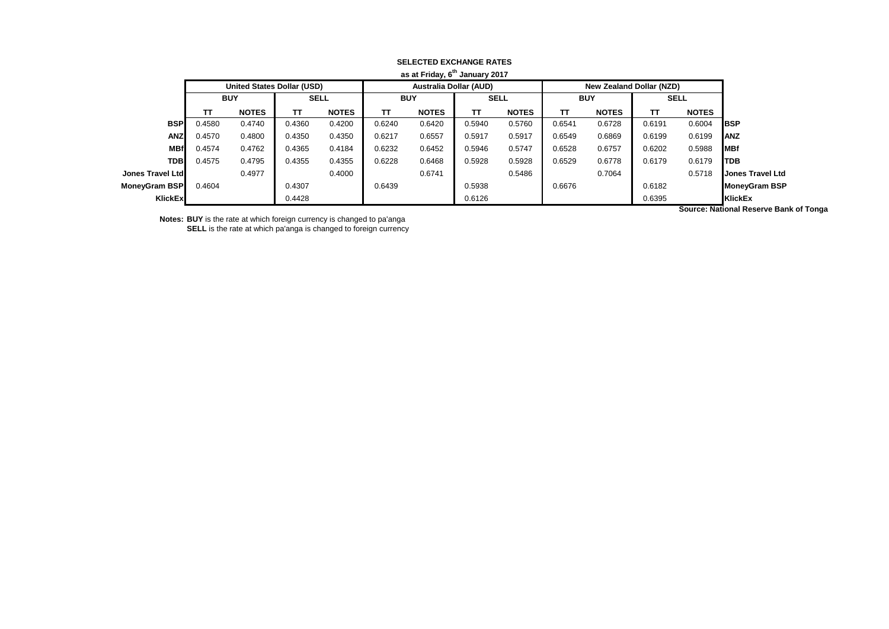|                  | as at Friday, 6 <sup>th</sup> January 2017 |                                   |             |              |                               |              |             |              |                                 |              |             |              |                                 |
|------------------|--------------------------------------------|-----------------------------------|-------------|--------------|-------------------------------|--------------|-------------|--------------|---------------------------------|--------------|-------------|--------------|---------------------------------|
|                  |                                            | <b>United States Dollar (USD)</b> |             |              | <b>Australia Dollar (AUD)</b> |              |             |              | <b>New Zealand Dollar (NZD)</b> |              |             |              |                                 |
|                  | <b>BUY</b>                                 |                                   | <b>SELL</b> |              | <b>BUY</b>                    |              | <b>SELL</b> |              | <b>BUY</b>                      |              | <b>SELL</b> |              |                                 |
|                  | тт                                         | <b>NOTES</b>                      | ΤТ          | <b>NOTES</b> | TΤ                            | <b>NOTES</b> | тτ          | <b>NOTES</b> | TΤ                              | <b>NOTES</b> | TΤ          | <b>NOTES</b> |                                 |
| <b>BSP</b>       | 0.4580                                     | 0.4740                            | 0.4360      | 0.4200       | 0.6240                        | 0.6420       | 0.5940      | 0.5760       | 0.6541                          | 0.6728       | 0.6191      | 0.6004       | <b>I</b> BSP                    |
| <b>ANZ</b>       | 0.4570                                     | 0.4800                            | 0.4350      | 0.4350       | 0.6217                        | 0.6557       | 0.5917      | 0.5917       | 0.6549                          | 0.6869       | 0.6199      | 0.6199       | <b>IANZ</b>                     |
| <b>MBf</b>       | 0.4574                                     | 0.4762                            | 0.4365      | 0.4184       | 0.6232                        | 0.6452       | 0.5946      | 0.5747       | 0.6528                          | 0.6757       | 0.6202      | 0.5988       | <b>IMBf</b>                     |
| TDB.             | 0.4575                                     | 0.4795                            | 0.4355      | 0.4355       | 0.6228                        | 0.6468       | 0.5928      | 0.5928       | 0.6529                          | 0.6778       | 0.6179      | 0.6179       | <b>I</b> TDB                    |
| Jones Travel Ltd |                                            | 0.4977                            |             | 0.4000       |                               | 0.6741       |             | 0.5486       |                                 | 0.7064       |             | 0.5718       | <b>Jones Travel Ltd</b>         |
| MoneyGram BSP    | 0.4604                                     |                                   | 0.4307      |              | 0.6439                        |              | 0.5938      |              | 0.6676                          |              | 0.6182      |              | <b>MoneyGram BSP</b>            |
| <b>KlickEx</b>   |                                            |                                   | 0.4428      |              |                               |              | 0.6126      |              |                                 |              | 0.6395      |              | <b>KlickEx</b>                  |
|                  |                                            |                                   |             |              |                               |              |             |              |                                 |              |             |              | Causes: Netianal Decemie Dank a |

## **SELECTED EXCHANGE RATES**

**Notes: BUY** is the rate at which foreign currency is changed to pa'anga

**SELL** is the rate at which pa'anga is changed to foreign currency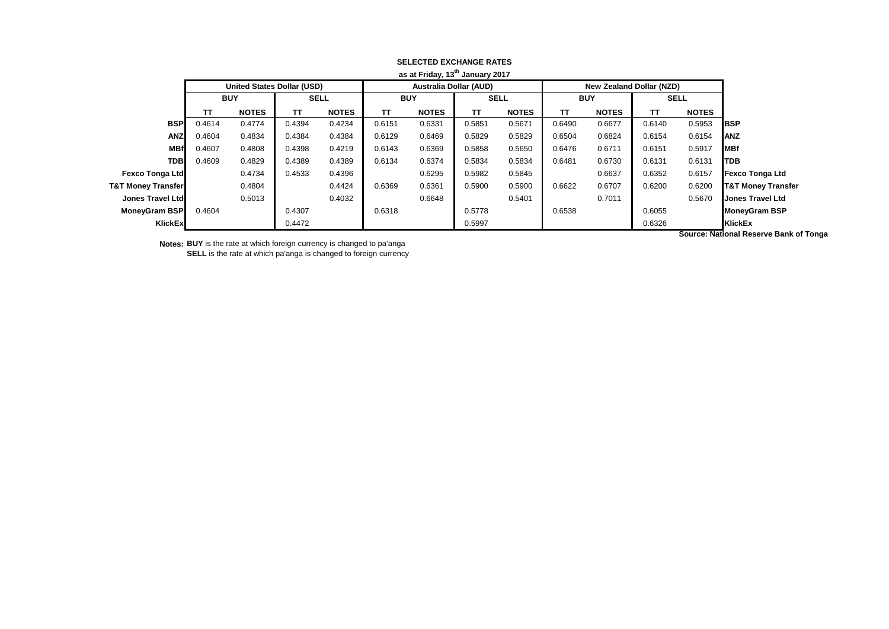| as at Friday, 13" January 2017 |            |                                   |             |              |                               |              |             |              |            |                          |             |              |                               |
|--------------------------------|------------|-----------------------------------|-------------|--------------|-------------------------------|--------------|-------------|--------------|------------|--------------------------|-------------|--------------|-------------------------------|
|                                |            | <b>United States Dollar (USD)</b> |             |              | <b>Australia Dollar (AUD)</b> |              |             |              |            | New Zealand Dollar (NZD) |             |              |                               |
|                                | <b>BUY</b> |                                   | <b>SELL</b> |              | <b>BUY</b>                    |              | <b>SELL</b> |              | <b>BUY</b> |                          | <b>SELL</b> |              |                               |
|                                | TΤ         | <b>NOTES</b>                      | ΤТ          | <b>NOTES</b> | ΤT                            | <b>NOTES</b> | TΤ          | <b>NOTES</b> | π          | <b>NOTES</b>             | TΤ          | <b>NOTES</b> |                               |
| <b>BSP</b>                     | 0.4614     | 0.4774                            | 0.4394      | 0.4234       | 0.6151                        | 0.6331       | 0.5851      | 0.5671       | 0.6490     | 0.6677                   | 0.6140      | 0.5953       | <b>IBSP</b>                   |
| <b>ANZ</b>                     | 0.4604     | 0.4834                            | 0.4384      | 0.4384       | 0.6129                        | 0.6469       | 0.5829      | 0.5829       | 0.6504     | 0.6824                   | 0.6154      | 0.6154       | <b>JANZ</b>                   |
| <b>MBf</b>                     | 0.4607     | 0.4808                            | 0.4398      | 0.4219       | 0.6143                        | 0.6369       | 0.5858      | 0.5650       | 0.6476     | 0.6711                   | 0.6151      | 0.5917       | <b>MBf</b>                    |
| <b>TDB</b>                     | 0.4609     | 0.4829                            | 0.4389      | 0.4389       | 0.6134                        | 0.6374       | 0.5834      | 0.5834       | 0.6481     | 0.6730                   | 0.6131      | 0.6131       | <b>ITDB</b>                   |
| <b>Fexco Tonga Ltd</b>         |            | 0.4734                            | 0.4533      | 0.4396       |                               | 0.6295       | 0.5982      | 0.5845       |            | 0.6637                   | 0.6352      | 0.6157       | <b>Fexco Tonga Ltd</b>        |
| <b>T&amp;T Money Transfer</b>  |            | 0.4804                            |             | 0.4424       | 0.6369                        | 0.6361       | 0.5900      | 0.5900       | 0.6622     | 0.6707                   | 0.6200      | 0.6200       | <b>T&amp;T Money Transfer</b> |
| Jones Travel Ltd               |            | 0.5013                            |             | 0.4032       |                               | 0.6648       |             | 0.5401       |            | 0.7011                   |             | 0.5670       | <b>Jones Travel Ltd</b>       |
| <b>MoneyGram BSP</b>           | 0.4604     |                                   | 0.4307      |              | 0.6318                        |              | 0.5778      |              | 0.6538     |                          | 0.6055      |              | <b>MoneyGram BSP</b>          |
| <b>KlickEx</b>                 |            |                                   | 0.4472      |              |                               |              | 0.5997      |              |            |                          | 0.6326      |              | <b>KlickEx</b>                |
|                                |            |                                   |             |              |                               |              |             |              |            |                          |             | .            |                               |

## **SELECTED EXCHANGE RATES as at Friday, 13th January 2017**

**Notes: BUY** is the rate at which foreign currency is changed to pa'anga

**SELL** is the rate at which pa'anga is changed to foreign currency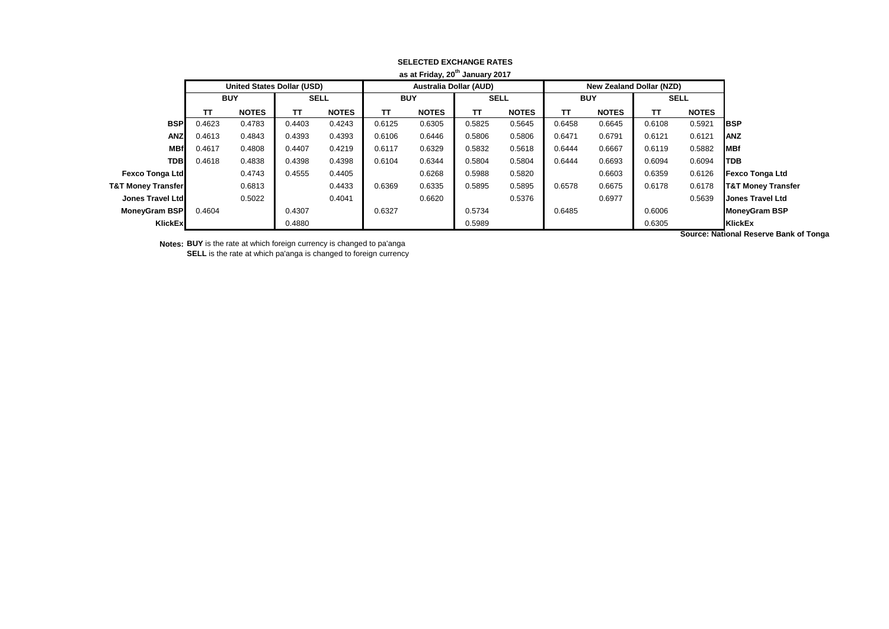| as at Friday, 20" January 2017 |            |                                   |             |              |                               |              |             |              |            |                                 |             |              |                               |
|--------------------------------|------------|-----------------------------------|-------------|--------------|-------------------------------|--------------|-------------|--------------|------------|---------------------------------|-------------|--------------|-------------------------------|
|                                |            | <b>United States Dollar (USD)</b> |             |              | <b>Australia Dollar (AUD)</b> |              |             |              |            | <b>New Zealand Dollar (NZD)</b> |             |              |                               |
|                                | <b>BUY</b> |                                   | <b>SELL</b> |              | <b>BUY</b>                    |              | <b>SELL</b> |              | <b>BUY</b> |                                 | <b>SELL</b> |              |                               |
|                                | тт         | <b>NOTES</b>                      | ΤТ          | <b>NOTES</b> | TΤ                            | <b>NOTES</b> | π           | <b>NOTES</b> | TΤ         | <b>NOTES</b>                    | TΤ          | <b>NOTES</b> |                               |
| <b>BSP</b>                     | 0.4623     | 0.4783                            | 0.4403      | 0.4243       | 0.6125                        | 0.6305       | 0.5825      | 0.5645       | 0.6458     | 0.6645                          | 0.6108      | 0.5921       | <b>IBSP</b>                   |
| <b>ANZ</b>                     | 0.4613     | 0.4843                            | 0.4393      | 0.4393       | 0.6106                        | 0.6446       | 0.5806      | 0.5806       | 0.6471     | 0.6791                          | 0.6121      | 0.6121       | <b>IANZ</b>                   |
| <b>MBf</b>                     | 0.4617     | 0.4808                            | 0.4407      | 0.4219       | 0.6117                        | 0.6329       | 0.5832      | 0.5618       | 0.6444     | 0.6667                          | 0.6119      | 0.5882       | <b>MBf</b>                    |
| <b>TDB</b>                     | 0.4618     | 0.4838                            | 0.4398      | 0.4398       | 0.6104                        | 0.6344       | 0.5804      | 0.5804       | 0.6444     | 0.6693                          | 0.6094      | 0.6094       | <b>ITDB</b>                   |
| <b>Fexco Tonga Ltd</b>         |            | 0.4743                            | 0.4555      | 0.4405       |                               | 0.6268       | 0.5988      | 0.5820       |            | 0.6603                          | 0.6359      | 0.6126       | <b>Fexco Tonga Ltd</b>        |
| <b>T&amp;T Money Transfer</b>  |            | 0.6813                            |             | 0.4433       | 0.6369                        | 0.6335       | 0.5895      | 0.5895       | 0.6578     | 0.6675                          | 0.6178      | 0.6178       | <b>T&amp;T Money Transfer</b> |
| Jones Travel Ltd               |            | 0.5022                            |             | 0.4041       |                               | 0.6620       |             | 0.5376       |            | 0.6977                          |             | 0.5639       | <b>Jones Travel Ltd</b>       |
| <b>MoneyGram BSP</b>           | 0.4604     |                                   | 0.4307      |              | 0.6327                        |              | 0.5734      |              | 0.6485     |                                 | 0.6006      |              | <b>MoneyGram BSP</b>          |
| KlickEx                        |            |                                   | 0.4880      |              |                               |              | 0.5989      |              |            |                                 | 0.6305      |              | <b>KlickEx</b>                |

## **SELECTED EXCHANGE RATES as at Friday, 20th January 2017**

**Notes: BUY** is the rate at which foreign currency is changed to pa'anga

**SELL** is the rate at which pa'anga is changed to foreign currency